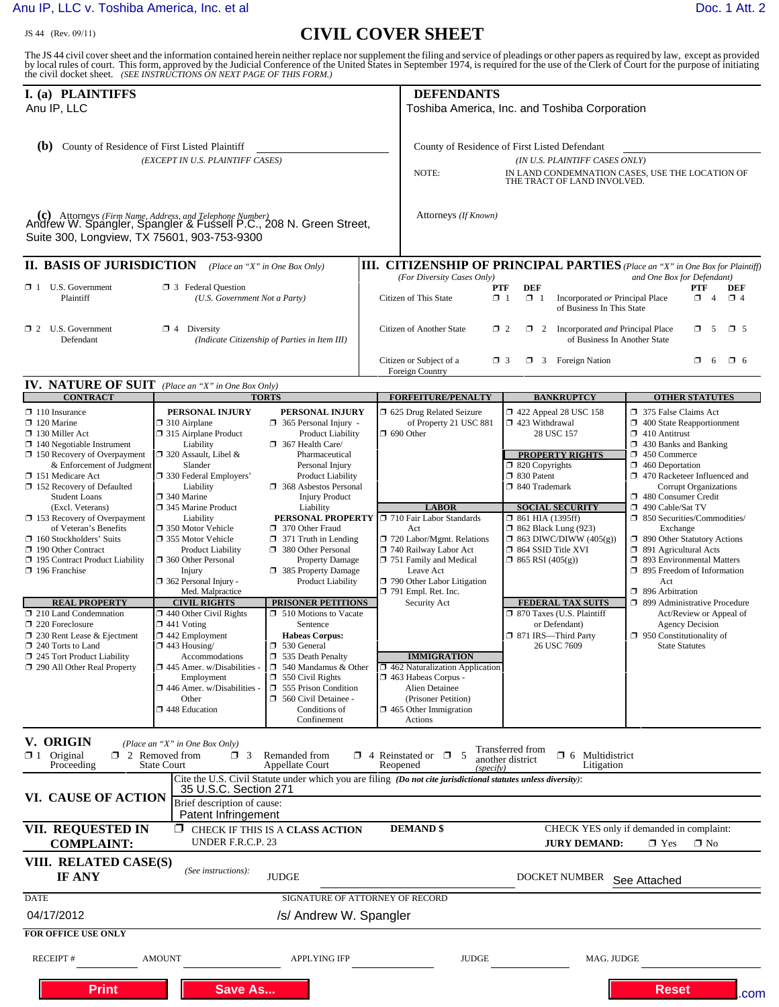## [Anu IP, LLC v. Toshiba America, Inc. et al](http://dockets.justia.com/docket/texas/txedce/2:2012cv00242/136630/) **[Doc. 1 Att. 2](http://docs.justia.com/cases/federal/district-courts/texas/txedce/2:2012cv00242/136630/1/2.html)**

## JS 44 (Rev. 09/11) **CIVIL COVER SHEET**

The JS 44 civil cover sheet and the information contained herein neither replace nor supplement the filing and service of pleadings or other papers as required by law, except as provided<br>by local rules of court. This form,

| I. (a) PLAINTIFFS<br>Anu IP, LLC                                                                                                                                                                                                                                                                                                                                                                                                                                                                                                                                                                                                                                          |                                                                                                                                                                                                                                                                                                                                                                                                                                                                                                                                                                                                                                           |                                                                                                                                                                                                                                                                                                                                                                                                                                                                                                                                                                                                                                                                                   |                                                                                                                                                                                                                                                        | <b>DEFENDANTS</b><br>Toshiba America, Inc. and Toshiba Corporation                                                                                                                                                                                                                                                                                                                                                                                                              |                                                                                                                                                                                                                                                                                                                                                                                                                                                                                       |                                                                                                                                                                                                                                                                                                                                                                                                                                                                                                                                                                                                                                |
|---------------------------------------------------------------------------------------------------------------------------------------------------------------------------------------------------------------------------------------------------------------------------------------------------------------------------------------------------------------------------------------------------------------------------------------------------------------------------------------------------------------------------------------------------------------------------------------------------------------------------------------------------------------------------|-------------------------------------------------------------------------------------------------------------------------------------------------------------------------------------------------------------------------------------------------------------------------------------------------------------------------------------------------------------------------------------------------------------------------------------------------------------------------------------------------------------------------------------------------------------------------------------------------------------------------------------------|-----------------------------------------------------------------------------------------------------------------------------------------------------------------------------------------------------------------------------------------------------------------------------------------------------------------------------------------------------------------------------------------------------------------------------------------------------------------------------------------------------------------------------------------------------------------------------------------------------------------------------------------------------------------------------------|--------------------------------------------------------------------------------------------------------------------------------------------------------------------------------------------------------------------------------------------------------|---------------------------------------------------------------------------------------------------------------------------------------------------------------------------------------------------------------------------------------------------------------------------------------------------------------------------------------------------------------------------------------------------------------------------------------------------------------------------------|---------------------------------------------------------------------------------------------------------------------------------------------------------------------------------------------------------------------------------------------------------------------------------------------------------------------------------------------------------------------------------------------------------------------------------------------------------------------------------------|--------------------------------------------------------------------------------------------------------------------------------------------------------------------------------------------------------------------------------------------------------------------------------------------------------------------------------------------------------------------------------------------------------------------------------------------------------------------------------------------------------------------------------------------------------------------------------------------------------------------------------|
| (b)<br>County of Residence of First Listed Plaintiff<br>(EXCEPT IN U.S. PLAINTIFF CASES)                                                                                                                                                                                                                                                                                                                                                                                                                                                                                                                                                                                  |                                                                                                                                                                                                                                                                                                                                                                                                                                                                                                                                                                                                                                           |                                                                                                                                                                                                                                                                                                                                                                                                                                                                                                                                                                                                                                                                                   |                                                                                                                                                                                                                                                        | County of Residence of First Listed Defendant<br>(IN U.S. PLAINTIFF CASES ONLY)<br>IN LAND CONDEMNATION CASES, USE THE LOCATION OF<br>NOTE:<br>THE TRACT OF LAND INVOLVED.                                                                                                                                                                                                                                                                                                      |                                                                                                                                                                                                                                                                                                                                                                                                                                                                                       |                                                                                                                                                                                                                                                                                                                                                                                                                                                                                                                                                                                                                                |
| (c) Attorneys (Firm Name, Address, and Telephone Number)<br>Andrew W. Spangler, Spangler & Fussell P.C., 208 N. Green Street,<br>Suite 300, Longview, TX 75601, 903-753-9300                                                                                                                                                                                                                                                                                                                                                                                                                                                                                              |                                                                                                                                                                                                                                                                                                                                                                                                                                                                                                                                                                                                                                           |                                                                                                                                                                                                                                                                                                                                                                                                                                                                                                                                                                                                                                                                                   |                                                                                                                                                                                                                                                        | Attorneys (If Known)                                                                                                                                                                                                                                                                                                                                                                                                                                                            |                                                                                                                                                                                                                                                                                                                                                                                                                                                                                       |                                                                                                                                                                                                                                                                                                                                                                                                                                                                                                                                                                                                                                |
| <b>II. BASIS OF JURISDICTION</b><br><b>III. CITIZENSHIP OF PRINCIPAL PARTIES</b> (Place an "X" in One Box for Plaintiff)<br>(Place an "X" in One Box Only)                                                                                                                                                                                                                                                                                                                                                                                                                                                                                                                |                                                                                                                                                                                                                                                                                                                                                                                                                                                                                                                                                                                                                                           |                                                                                                                                                                                                                                                                                                                                                                                                                                                                                                                                                                                                                                                                                   |                                                                                                                                                                                                                                                        |                                                                                                                                                                                                                                                                                                                                                                                                                                                                                 |                                                                                                                                                                                                                                                                                                                                                                                                                                                                                       |                                                                                                                                                                                                                                                                                                                                                                                                                                                                                                                                                                                                                                |
| $\Box$ 1 U.S. Government<br>Plaintiff                                                                                                                                                                                                                                                                                                                                                                                                                                                                                                                                                                                                                                     | <b>X</b> 3 Federal Question<br>(U.S. Government Not a Party)                                                                                                                                                                                                                                                                                                                                                                                                                                                                                                                                                                              |                                                                                                                                                                                                                                                                                                                                                                                                                                                                                                                                                                                                                                                                                   | and One Box for Defendant)<br>(For Diversity Cases Only)<br><b>DEF</b><br><b>DEF</b><br>PTF<br>PTF<br>$\Box$ 1<br>$\Box$ 1<br>Incorporated or Principal Place<br>$\Box$ 4<br>Citizen of This State<br>σ<br>$\overline{4}$<br>of Business In This State |                                                                                                                                                                                                                                                                                                                                                                                                                                                                                 |                                                                                                                                                                                                                                                                                                                                                                                                                                                                                       |                                                                                                                                                                                                                                                                                                                                                                                                                                                                                                                                                                                                                                |
| $\Box$ 2 U.S. Government<br>Defendant                                                                                                                                                                                                                                                                                                                                                                                                                                                                                                                                                                                                                                     | $\Box$ 4 Diversity<br>(Indicate Citizenship of Parties in Item III)                                                                                                                                                                                                                                                                                                                                                                                                                                                                                                                                                                       |                                                                                                                                                                                                                                                                                                                                                                                                                                                                                                                                                                                                                                                                                   | Citizen of Another State<br>$\Box$ 2<br>$\Box$ 2 Incorporated <i>and</i> Principal Place<br>σ.<br>5<br>$\Box$ 5<br>of Business In Another State                                                                                                        |                                                                                                                                                                                                                                                                                                                                                                                                                                                                                 |                                                                                                                                                                                                                                                                                                                                                                                                                                                                                       |                                                                                                                                                                                                                                                                                                                                                                                                                                                                                                                                                                                                                                |
|                                                                                                                                                                                                                                                                                                                                                                                                                                                                                                                                                                                                                                                                           |                                                                                                                                                                                                                                                                                                                                                                                                                                                                                                                                                                                                                                           |                                                                                                                                                                                                                                                                                                                                                                                                                                                                                                                                                                                                                                                                                   |                                                                                                                                                                                                                                                        | $\Box$ 6<br>Citizen or Subject of a<br>$\Box$ 3<br><b>3</b> Foreign Nation<br>$\Box$ 6<br>Foreign Country                                                                                                                                                                                                                                                                                                                                                                       |                                                                                                                                                                                                                                                                                                                                                                                                                                                                                       |                                                                                                                                                                                                                                                                                                                                                                                                                                                                                                                                                                                                                                |
| <b>IV. NATURE OF SUIT</b><br><b>CONTRACT</b>                                                                                                                                                                                                                                                                                                                                                                                                                                                                                                                                                                                                                              | (Place an "X" in One Box Only)                                                                                                                                                                                                                                                                                                                                                                                                                                                                                                                                                                                                            | <b>TORTS</b>                                                                                                                                                                                                                                                                                                                                                                                                                                                                                                                                                                                                                                                                      |                                                                                                                                                                                                                                                        | <b>FORFEITURE/PENALTY</b>                                                                                                                                                                                                                                                                                                                                                                                                                                                       |                                                                                                                                                                                                                                                                                                                                                                                                                                                                                       | <b>OTHER STATUTES</b>                                                                                                                                                                                                                                                                                                                                                                                                                                                                                                                                                                                                          |
| $\Box$ 110 Insurance<br>$\Box$ 120 Marine<br>$\Box$ 130 Miller Act<br>$\Box$ 140 Negotiable Instrument<br>$\Box$ 150 Recovery of Overpayment<br>& Enforcement of Judgment<br>□ 151 Medicare Act<br>152 Recovery of Defaulted<br><b>Student Loans</b><br>(Excl. Veterans)<br>$\Box$ 153 Recovery of Overpayment<br>of Veteran's Benefits<br>$\Box$ 160 Stockholders' Suits<br>190 Other Contract<br><b>195 Contract Product Liability</b><br>$\Box$ 196 Franchise<br><b>REAL PROPERTY</b><br>$\Box$ 210 Land Condemnation<br>220 Foreclosure<br>$\Box$ 230 Rent Lease & Ejectment<br>$\Box$ 240 Torts to Land<br>245 Tort Product Liability<br>290 All Other Real Property | PERSONAL INJURY<br>$\Box$ 310 Airplane<br>□ 315 Airplane Product<br>Liability<br>□ 320 Assault, Libel &<br>Slander<br>□ 330 Federal Employers'<br>Liability<br>$\Box$ 340 Marine<br>345 Marine Product<br>Liability<br>□ 350 Motor Vehicle<br>□ 355 Motor Vehicle<br>Product Liability<br>360 Other Personal<br>Injury<br>$\Box$ 362 Personal Injury -<br>Med. Malpractice<br><b>CIVIL RIGHTS</b><br>$\Box$ 440 Other Civil Rights<br>$\Box$ 441 Voting<br>$\square$ 442 Employment<br>$\Box$ 443 Housing/<br>Accommodations<br>445 Amer. w/Disabilities -<br>Employment<br>$\Box$ 446 Amer. w/Disabilities -<br>Other<br>□ 448 Education | PERSONAL INJURY<br>$\Box$ 365 Personal Injury -<br><b>Product Liability</b><br>367 Health Care/<br>Pharmaceutical<br>Personal Injury<br><b>Product Liability</b><br>368 Asbestos Personal<br><b>Injury Product</b><br>Liability<br>PERSONAL PROPERTY<br>370 Other Fraud<br>$\Box$ 371 Truth in Lending<br>380 Other Personal<br><b>Property Damage</b><br>385 Property Damage<br><b>Product Liability</b><br>PRISONER PETITIONS<br>510 Motions to Vacate<br>Sentence<br><b>Habeas Corpus:</b><br>$\Box$ 530 General<br>535 Death Penalty<br>540 Mandamus & Other<br>ο.<br>$\Box$ 550 Civil Rights<br>555 Prison Condition<br>560 Civil Detainee -<br>Conditions of<br>Confinement |                                                                                                                                                                                                                                                        | 5 625 Drug Related Seizure<br>of Property 21 USC 881<br>$\Box$ 690 Other<br><b>LABOR</b><br>710 Fair Labor Standards<br>Act<br>720 Labor/Mgmt. Relations<br>740 Railway Labor Act<br>751 Family and Medical<br>Leave Act<br>790 Other Labor Litigation<br>$\Box$ 791 Empl. Ret. Inc.<br>Security Act<br><b>IMMIGRATION</b><br>$\Box$ 462 Naturalization Application<br>1463 Habeas Corpus -<br>Alien Detainee<br>(Prisoner Petition)<br>$\Box$ 465 Other Immigration<br>Actions | <b>BANKRUPTCY</b><br>$\Box$ 422 Appeal 28 USC 158<br>$\Box$ 423 Withdrawal<br>28 USC 157<br><b>PROPERTY RIGHTS</b><br>$\overline{\Box}$ 820 Copyrights<br>区 830 Patent<br>□ 840 Trademark<br><b>SOCIAL SECURITY</b><br>$\Box$ 861 HIA (1395ff)<br>$\Box$ 862 Black Lung (923)<br>$\Box$ 863 DIWC/DIWW (405(g))<br>□ 864 SSID Title XVI<br>$\Box$ 865 RSI (405(g))<br><b>FEDERAL TAX SUITS</b><br>□ 870 Taxes (U.S. Plaintiff<br>or Defendant)<br>□ 871 IRS—Third Party<br>26 USC 7609 | 375 False Claims Act<br>$\Box$ 400 State Reapportionment<br>$\Box$ 410 Antitrust<br>$\Box$ 430 Banks and Banking<br>$\Box$ 450 Commerce<br>$\Box$ 460 Deportation<br>470 Racketeer Influenced and<br>Corrupt Organizations<br>480 Consumer Credit<br>□ 490 Cable/Sat TV<br>□ 850 Securities/Commodities/<br>Exchange<br>□ 890 Other Statutory Actions<br>□ 891 Agricultural Acts<br>□ 893 Environmental Matters<br>□ 895 Freedom of Information<br>Act<br>□ 896 Arbitration<br>□ 899 Administrative Procedure<br>Act/Review or Appeal of<br><b>Agency Decision</b><br>$\Box$ 950 Constitutionality of<br><b>State Statutes</b> |
| V. ORIGIN<br>(Place an "X" in One Box Only)<br>Transferred from<br>$\Box$ 4 Reinstated or $\Box$ 5<br><b>1</b> 6 Multidistrict<br>$\Box$ 1 Original<br>$\Box$ 2 Removed from<br>$\Box$ 3<br>Remanded from<br>another district<br>Proceeding<br><b>State Court</b><br><b>Appellate Court</b><br>Reopened<br>Litigation<br>(specify)<br>Cite the U.S. Civil Statute under which you are filing (Do not cite jurisdictional statutes unless diversity):                                                                                                                                                                                                                      |                                                                                                                                                                                                                                                                                                                                                                                                                                                                                                                                                                                                                                           |                                                                                                                                                                                                                                                                                                                                                                                                                                                                                                                                                                                                                                                                                   |                                                                                                                                                                                                                                                        |                                                                                                                                                                                                                                                                                                                                                                                                                                                                                 |                                                                                                                                                                                                                                                                                                                                                                                                                                                                                       |                                                                                                                                                                                                                                                                                                                                                                                                                                                                                                                                                                                                                                |
| 35 U.S.C. Section 271<br>VI. CAUSE OF ACTION<br>Brief description of cause:<br>Patent Infringement                                                                                                                                                                                                                                                                                                                                                                                                                                                                                                                                                                        |                                                                                                                                                                                                                                                                                                                                                                                                                                                                                                                                                                                                                                           |                                                                                                                                                                                                                                                                                                                                                                                                                                                                                                                                                                                                                                                                                   |                                                                                                                                                                                                                                                        |                                                                                                                                                                                                                                                                                                                                                                                                                                                                                 |                                                                                                                                                                                                                                                                                                                                                                                                                                                                                       |                                                                                                                                                                                                                                                                                                                                                                                                                                                                                                                                                                                                                                |
| VII. REQUESTED IN<br><b>DEMAND \$</b><br>CHECK YES only if demanded in complaint:<br>ο.<br>CHECK IF THIS IS A CLASS ACTION<br>UNDER F.R.C.P. 23<br><b>COMPLAINT:</b><br>$\Box$ Yes<br>$\Box$ No<br><b>JURY DEMAND:</b>                                                                                                                                                                                                                                                                                                                                                                                                                                                    |                                                                                                                                                                                                                                                                                                                                                                                                                                                                                                                                                                                                                                           |                                                                                                                                                                                                                                                                                                                                                                                                                                                                                                                                                                                                                                                                                   |                                                                                                                                                                                                                                                        |                                                                                                                                                                                                                                                                                                                                                                                                                                                                                 |                                                                                                                                                                                                                                                                                                                                                                                                                                                                                       |                                                                                                                                                                                                                                                                                                                                                                                                                                                                                                                                                                                                                                |
| VIII. RELATED CASE(S)<br>(See instructions):<br>IF ANY<br><b>JUDGE</b><br>DOCKET NUMBER<br>See Attached                                                                                                                                                                                                                                                                                                                                                                                                                                                                                                                                                                   |                                                                                                                                                                                                                                                                                                                                                                                                                                                                                                                                                                                                                                           |                                                                                                                                                                                                                                                                                                                                                                                                                                                                                                                                                                                                                                                                                   |                                                                                                                                                                                                                                                        |                                                                                                                                                                                                                                                                                                                                                                                                                                                                                 |                                                                                                                                                                                                                                                                                                                                                                                                                                                                                       |                                                                                                                                                                                                                                                                                                                                                                                                                                                                                                                                                                                                                                |
| <b>DATE</b><br>SIGNATURE OF ATTORNEY OF RECORD                                                                                                                                                                                                                                                                                                                                                                                                                                                                                                                                                                                                                            |                                                                                                                                                                                                                                                                                                                                                                                                                                                                                                                                                                                                                                           |                                                                                                                                                                                                                                                                                                                                                                                                                                                                                                                                                                                                                                                                                   |                                                                                                                                                                                                                                                        |                                                                                                                                                                                                                                                                                                                                                                                                                                                                                 |                                                                                                                                                                                                                                                                                                                                                                                                                                                                                       |                                                                                                                                                                                                                                                                                                                                                                                                                                                                                                                                                                                                                                |
| 04/17/2012<br>/s/ Andrew W. Spangler<br><b>FOR OFFICE USE ONLY</b>                                                                                                                                                                                                                                                                                                                                                                                                                                                                                                                                                                                                        |                                                                                                                                                                                                                                                                                                                                                                                                                                                                                                                                                                                                                                           |                                                                                                                                                                                                                                                                                                                                                                                                                                                                                                                                                                                                                                                                                   |                                                                                                                                                                                                                                                        |                                                                                                                                                                                                                                                                                                                                                                                                                                                                                 |                                                                                                                                                                                                                                                                                                                                                                                                                                                                                       |                                                                                                                                                                                                                                                                                                                                                                                                                                                                                                                                                                                                                                |
| <b>RECEIPT#</b><br><b>AMOUNT</b><br><b>APPLYING IFP</b>                                                                                                                                                                                                                                                                                                                                                                                                                                                                                                                                                                                                                   |                                                                                                                                                                                                                                                                                                                                                                                                                                                                                                                                                                                                                                           |                                                                                                                                                                                                                                                                                                                                                                                                                                                                                                                                                                                                                                                                                   |                                                                                                                                                                                                                                                        | <b>JUDGE</b><br>MAG. JUDGE                                                                                                                                                                                                                                                                                                                                                                                                                                                      |                                                                                                                                                                                                                                                                                                                                                                                                                                                                                       |                                                                                                                                                                                                                                                                                                                                                                                                                                                                                                                                                                                                                                |
| <b>Save As</b><br><b>Print</b><br><b>Reset</b><br>.com                                                                                                                                                                                                                                                                                                                                                                                                                                                                                                                                                                                                                    |                                                                                                                                                                                                                                                                                                                                                                                                                                                                                                                                                                                                                                           |                                                                                                                                                                                                                                                                                                                                                                                                                                                                                                                                                                                                                                                                                   |                                                                                                                                                                                                                                                        |                                                                                                                                                                                                                                                                                                                                                                                                                                                                                 |                                                                                                                                                                                                                                                                                                                                                                                                                                                                                       |                                                                                                                                                                                                                                                                                                                                                                                                                                                                                                                                                                                                                                |